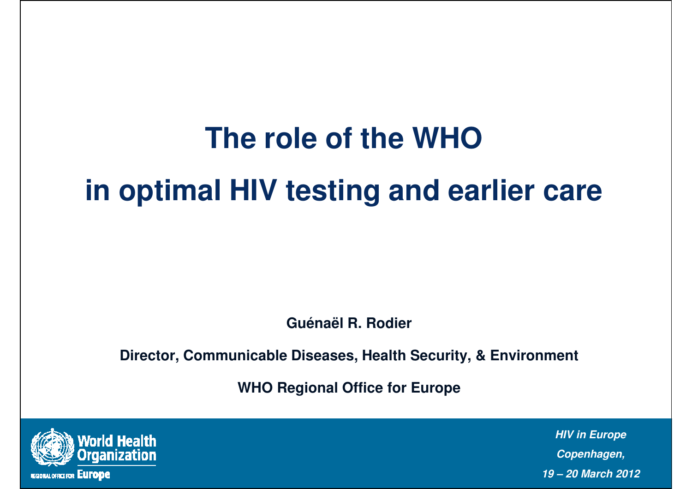# **The role of the WHO in optimal HIV testing and earlier care**

**Guénaël R. Rodier** 

**Director, Communicable Diseases, Health Security, & Environment** 

**WHO Regional Office for Europe**

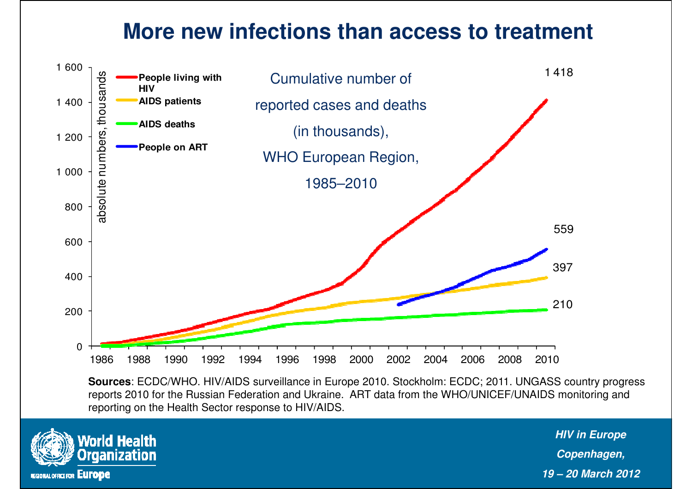### **More new infections than access to treatment**



**Sources**: ECDC/WHO. HIV/AIDS surveillance in Europe 2010. Stockholm: ECDC; 2011. UNGASS country progress reports 2010 for the Russian Federation and Ukraine. ART data from the WHO/UNICEF/UNAIDS monitoring and reporting on the Health Sector response to HIV/AIDS.

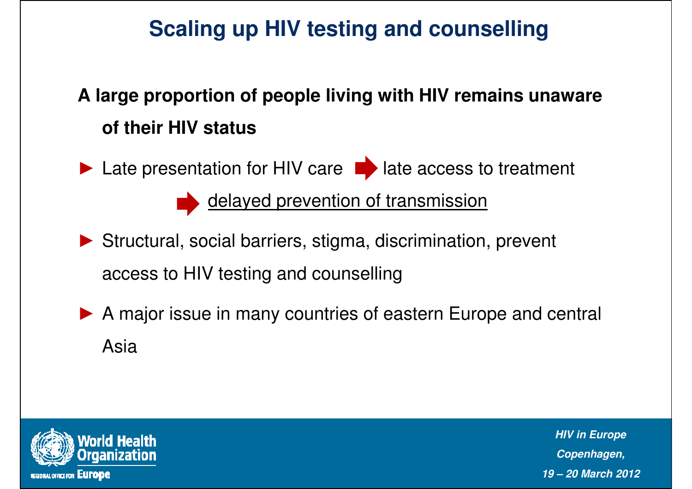## **Scaling up HIV testing and counselling**

# **A large proportion of people living with HIV remains unaware of their HIV status**

► Late presentation for HIV care  $\blacksquare$  late access to treatment

delayed prevention of transmission

- ► Structural, social barriers, stigma, discrimination, prevent access to HIV testing and counselling
- ▶ A major issue in many countries of eastern Europe and central Asia

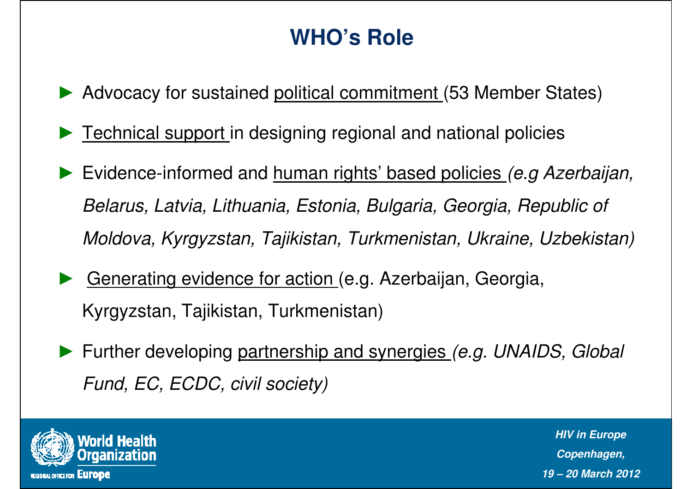# **WHO's Role**

- ► Advocacy for sustained political commitment (53 Member States)
- ► Technical support in designing regional and national policies
- ► Evidence-informed and human rights' based policies (e.g Azerbaijan, Belarus, Latvia, Lithuania, Estonia, Bulgaria, Georgia, Republic of Moldova, Kyrgyzstan, Tajikistan, Turkmenistan, Ukraine, Uzbekistan)
- ► Generating evidence for action (e.g. Azerbaijan, Georgia, Kyrgyzstan, Tajikistan, Turkmenistan)
- ► Further developing partnership and synergies (e.g. UNAIDS, Global Fund, EC, ECDC, civil society)

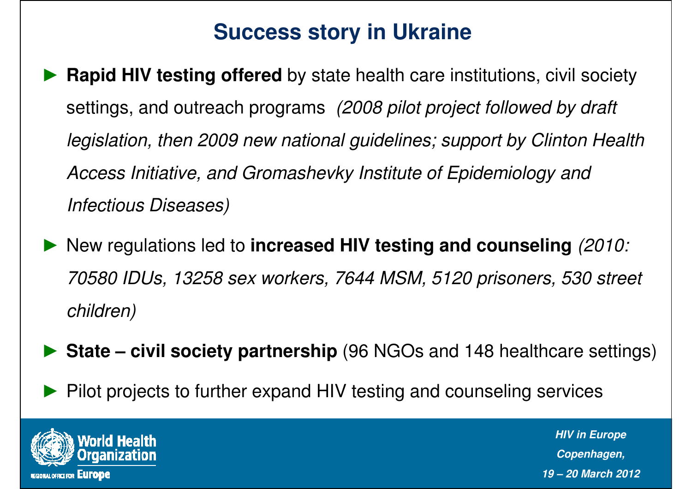## **Success story in Ukraine**

- ► **Rapid HIV testing offered** by state health care institutions, civil society settings, and outreach programs (2008 pilot project followed by draft legislation, then 2009 new national guidelines; support by Clinton Health Access Initiative, and Gromashevky Institute of Epidemiology and Infectious Diseases)
- ► New regulations led to **increased HIV testing and counseling** (2010: 70580 IDUs, 13258 sex workers, 7644 MSM, 5120 prisoners, 530 street children)
- ► **State – civil society partnership** (96 NGOs and 148 healthcare settings)
- ►Pilot projects to further expand HIV testing and counseling services

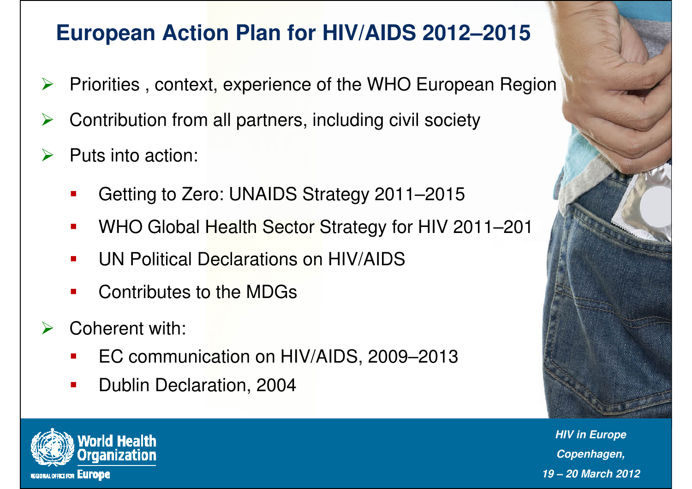# **European Action Plan for HIV/AIDS 2012–2015**

- $\blacktriangleright$ Priorities , context, experience of the WHO European Region
- $\blacktriangleright$ Contribution from all partners, including civil society
- $\blacktriangleright$  Puts into action:
	- $\mathcal{L}_{\mathcal{A}}$ Getting to Zero: UNAIDS Strategy 2011–2015
	- -WHO Global Health Sector Strategy for HIV 2011–201
	- $\mathcal{L}_{\mathcal{A}}$ UN Political Declarations on HIV/AIDS
	- $\mathcal{L}_{\mathcal{A}}$ Contributes to the MDGs
- $\sum_{i=1}^{n}$  Coherent with:
	- -EC communication on HIV/AIDS, 2009–2013
	- -Dublin Declaration, 2004



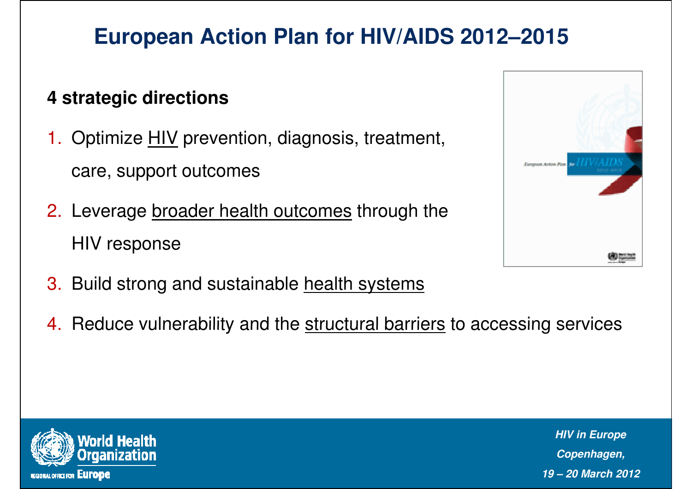# **European Action Plan for HIV/AIDS 2012–2015**

#### **4 strategic directions**

1. Optimize <u>HIV</u> prevention, diagnosis, treatment,

care, support outcomes

- 2. Leverage <u>broader health outcomes</u> through the HIV response
- 3. Build strong and sustainable <u>health systems</u>
- 4. Reduce vulnerability and the <u>structural barriers</u> to accessing services



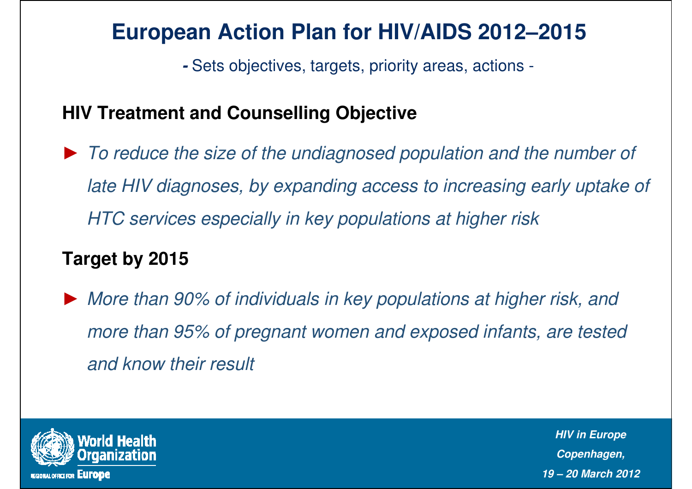## **European Action Plan for HIV/AIDS 2012–2015**

**-** Sets objectives, targets, priority areas, actions -

#### **HIV Treatment and Counselling Objective**

► To reduce the size of the undiagnosed population and the number of late HIV diagnoses, by expanding access to increasing early uptake of HTC services especially in key populations at higher risk

#### **Target by 2015**

► More than 90% of individuals in key populations at higher risk, and more than 95% of pregnant women and exposed infants, are tested and know their result

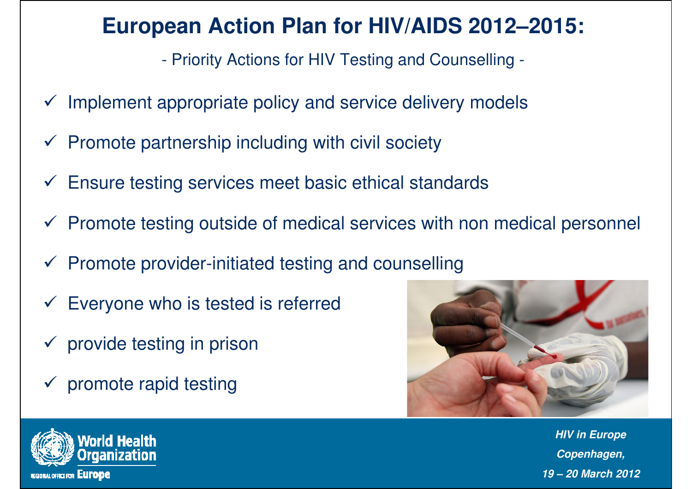## **European Action Plan for HIV/AIDS 2012–2015:**

Priority Actions for HIV Testing and Counselling -

- $\checkmark$  Implement appropriate policy and service delivery models
- $\checkmark$  Promote partnership including with civil society
- $\checkmark$  Ensure testing services meet basic ethical standards
- $\checkmark$  Promote testing outside of medical services with non medical personnel
- $\checkmark$  Promote provider-initiated testing and counselling
- $\checkmark$  Everyone who is tested is referred
- $\checkmark$  provide testing in prison
- $\checkmark$  promote rapid testing



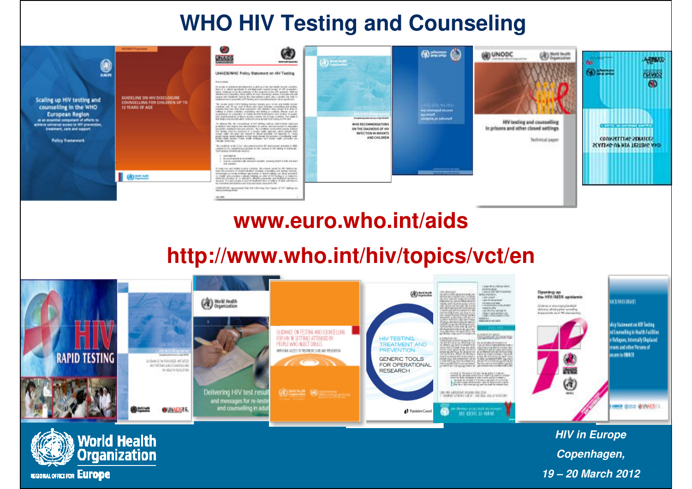### **WHO HIV Testing and Counseling**

| 9<br>Scaling up HIV testing and<br>counselling in the WHO<br><b>European Region</b><br>at an ensential component of efforts to<br>achieve universal access to HV prevention,<br><b>Insulment</b> , care and support<br><b>Pullcy framework</b> | <b>MICAGE Programm</b><br><b>GUIDELINE ON HIV DISCLOSURE</b><br>COUNSELLING FOR CHILDREN UP TO<br>12 YEARS OF AGE | -A)<br>W.<br>unist på<br><b>REGISTERED FOR</b><br>UNACS/MIC Policy Statement on His Testing<br>managers in<br>the purpose for the entertainment in American and the party that concentrated in the contract concentration.<br>they but ratingly extends to another automatic system property to the prevention.<br>Statement with the company of the company of the company of<br>inners on themself being decompositions and can a make the batt to<br>takturiara painterimento anciente chiefe la piazza.<br>The control of the control of the control of the control of the control of the control of the<br>and the side of the consideration of the side of the side of the side of the side of the side of the side of t<br>The side of the consecutive of the first side of the side of the side of the side of the side of the side of<br>into engineeralise in terra promotioner to times manter. The facts is<br>the programme allowed cakes in the constraints progress and convey as with land.<br>To retain the fact considered it will believe transitional consists reported<br>primates has share and interesting a real at antique around furniture and<br>provides dedications and the "substantial provides area plans.<br>The body must be defined to a better radio contract ratio almost that<br>202 San Southeast Val 202 State Corp. 2021-20<br>Calculate and Secretary<br>The condition or the C for colour process and its maximum complete at their<br>to address to the Company's structure and the first constant of with texting of the branques.<br>The interaction of the brand company of<br>1. Inchestory<br>1. Second-exist booms with a<br>1. NAME CONSIDERED AND DESCRIPTIONS OF ASSESSMENT CONTROL.<br>and sometime. | <b>Capabilities</b><br><b><i>UNITED STOP</i></b><br>Scoophonic hands account in high strukchi<br>WHO RECOMMENDATIONS<br>ON THE DIAGNOSIS OF HIV<br>INFECTION IN INFANTS<br><b>AND CHILDREN</b> | LIGID-IGHLAGLINOU<br><b>Net Officers and Security</b><br><b>SILL MISSION</b><br><b>Sylvigory are subcased</b> | <b>CONNODE</b><br><b>CONTRACTOR</b><br>HIV testing and counselling<br>in prisons and other closed sattings.<br>Tellimousl paper | <b>ARMUS</b><br>literatur.<br><b>CHANGE</b><br>a new the new problems where the<br><b>CONVERTING MINIEES</b><br><b>SCALLWG-UP HIY TESTING AND</b> |
|------------------------------------------------------------------------------------------------------------------------------------------------------------------------------------------------------------------------------------------------|-------------------------------------------------------------------------------------------------------------------|------------------------------------------------------------------------------------------------------------------------------------------------------------------------------------------------------------------------------------------------------------------------------------------------------------------------------------------------------------------------------------------------------------------------------------------------------------------------------------------------------------------------------------------------------------------------------------------------------------------------------------------------------------------------------------------------------------------------------------------------------------------------------------------------------------------------------------------------------------------------------------------------------------------------------------------------------------------------------------------------------------------------------------------------------------------------------------------------------------------------------------------------------------------------------------------------------------------------------------------------------------------------------------------------------------------------------------------------------------------------------------------------------------------------------------------------------------------------------------------------------------------------------------------------------------------------------------------------------------------------------------------------------------------------------------------------------------------------------------------------------------|------------------------------------------------------------------------------------------------------------------------------------------------------------------------------------------------|---------------------------------------------------------------------------------------------------------------|---------------------------------------------------------------------------------------------------------------------------------|---------------------------------------------------------------------------------------------------------------------------------------------------|
|                                                                                                                                                                                                                                                | <b>d</b>                                                                                                          | I make the act highly located copilies. He compatinged the distributions<br>logo by considered allasticabilitate education manager and lasting environ-<br>in monitorial concertains in this was the property dependent of the second control of<br>and more was taken a change of<br>ALLES TULATURES E AUSTRALIATAILE ESSUE ESA MISCO-<br>the testimated article 6 lacs offs that has counts assumed fifty.<br>control of a support of the internal but have of the lasting by-<br>months from the office.                                                                                                                                                                                                                                                                                                                                                                                                                                                                                                                                                                                                                                                                                                                                                                                                                                                                                                                                                                                                                                                                                                                                                                                                                                                |                                                                                                                                                                                                | ----------<br>Castledd Unit House                                                                             |                                                                                                                                 |                                                                                                                                                   |
|                                                                                                                                                                                                                                                |                                                                                                                   | ALC: NOW                                                                                                                                                                                                                                                                                                                                                                                                                                                                                                                                                                                                                                                                                                                                                                                                                                                                                                                                                                                                                                                                                                                                                                                                                                                                                                                                                                                                                                                                                                                                                                                                                                                                                                                                                   |                                                                                                                                                                                                |                                                                                                               |                                                                                                                                 |                                                                                                                                                   |

#### **www.euro.who.int/aids**

#### **http://www.who.int/hiv/topics/vct/en**



**Copenhagen, 19 – 20 March 2012**